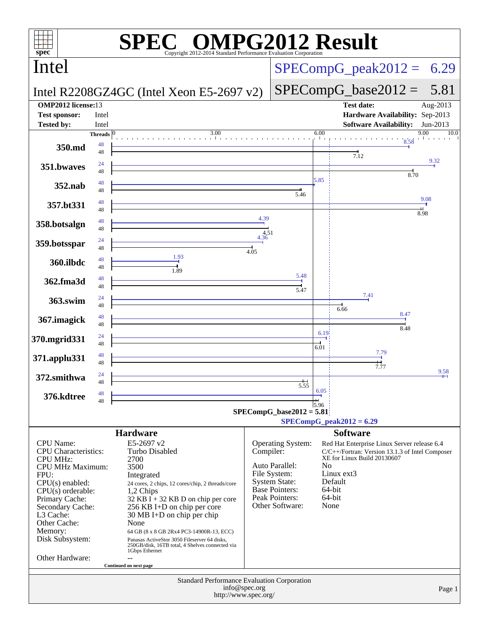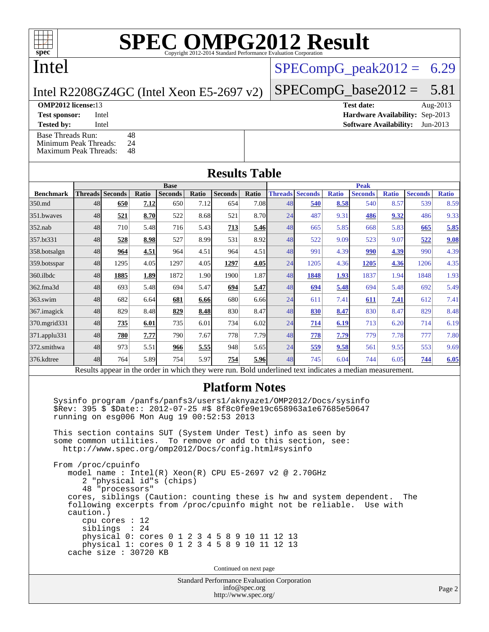## Intel

## Intel R2208GZ4GC (Intel Xeon E5-2697 v2)

[Base Threads Run:](http://www.spec.org/auto/omp2012/Docs/result-fields.html#BaseThreadsRun) 48<br>Minimum Peak Threads: 24 [Minimum Peak Threads:](http://www.spec.org/auto/omp2012/Docs/result-fields.html#MinimumPeakThreads)

[Maximum Peak Threads:](http://www.spec.org/auto/omp2012/Docs/result-fields.html#MaximumPeakThreads) 48

 $SPECompG<sub>peak2012</sub> = 6.29$ 

### $SPECompG_base2012 = 5.81$  $SPECompG_base2012 = 5.81$

**[OMP2012 license:](http://www.spec.org/auto/omp2012/Docs/result-fields.html#OMP2012license)**13 **[Test date:](http://www.spec.org/auto/omp2012/Docs/result-fields.html#Testdate)** Aug-2013 **[Test sponsor:](http://www.spec.org/auto/omp2012/Docs/result-fields.html#Testsponsor)** Intel **[Hardware Availability:](http://www.spec.org/auto/omp2012/Docs/result-fields.html#HardwareAvailability)** Sep-2013

**[Tested by:](http://www.spec.org/auto/omp2012/Docs/result-fields.html#Testedby)** Intel **[Software Availability:](http://www.spec.org/auto/omp2012/Docs/result-fields.html#SoftwareAvailability)** Jun-2013

### **[Results Table](http://www.spec.org/auto/omp2012/Docs/result-fields.html#ResultsTable) [Benchmark](http://www.spec.org/auto/omp2012/Docs/result-fields.html#Benchmark) [Threads](http://www.spec.org/auto/omp2012/Docs/result-fields.html#Threads) [Seconds](http://www.spec.org/auto/omp2012/Docs/result-fields.html#Seconds) [Ratio](http://www.spec.org/auto/omp2012/Docs/result-fields.html#Ratio) [Seconds](http://www.spec.org/auto/omp2012/Docs/result-fields.html#Seconds) [Ratio](http://www.spec.org/auto/omp2012/Docs/result-fields.html#Ratio) [Seconds](http://www.spec.org/auto/omp2012/Docs/result-fields.html#Seconds) [Ratio](http://www.spec.org/auto/omp2012/Docs/result-fields.html#Ratio) Base [Threads](http://www.spec.org/auto/omp2012/Docs/result-fields.html#Threads) [Seconds](http://www.spec.org/auto/omp2012/Docs/result-fields.html#Seconds) [Ratio](http://www.spec.org/auto/omp2012/Docs/result-fields.html#Ratio) [Seconds](http://www.spec.org/auto/omp2012/Docs/result-fields.html#Seconds) [Ratio](http://www.spec.org/auto/omp2012/Docs/result-fields.html#Ratio) [Seconds](http://www.spec.org/auto/omp2012/Docs/result-fields.html#Seconds) [Ratio](http://www.spec.org/auto/omp2012/Docs/result-fields.html#Ratio) Peak** [350.md](http://www.spec.org/auto/omp2012/Docs/350.md.html) 48 **[650](http://www.spec.org/auto/omp2012/Docs/result-fields.html#Median) [7.12](http://www.spec.org/auto/omp2012/Docs/result-fields.html#Median)** 650 7.12 654 7.08 48 **[540](http://www.spec.org/auto/omp2012/Docs/result-fields.html#Median) [8.58](http://www.spec.org/auto/omp2012/Docs/result-fields.html#Median)** 540 8.57 539 8.59 [351.bwaves](http://www.spec.org/auto/omp2012/Docs/351.bwaves.html) 48 **[521](http://www.spec.org/auto/omp2012/Docs/result-fields.html#Median) [8.70](http://www.spec.org/auto/omp2012/Docs/result-fields.html#Median)** 522 8.68 521 8.70 24 487 9.31 **[486](http://www.spec.org/auto/omp2012/Docs/result-fields.html#Median) [9.32](http://www.spec.org/auto/omp2012/Docs/result-fields.html#Median)** 486 9.33 [352.nab](http://www.spec.org/auto/omp2012/Docs/352.nab.html) 48 710 5.48 716 5.43 **[713](http://www.spec.org/auto/omp2012/Docs/result-fields.html#Median) [5.46](http://www.spec.org/auto/omp2012/Docs/result-fields.html#Median)** 48 665 5.85 668 5.83 **[665](http://www.spec.org/auto/omp2012/Docs/result-fields.html#Median) [5.85](http://www.spec.org/auto/omp2012/Docs/result-fields.html#Median)** [357.bt331](http://www.spec.org/auto/omp2012/Docs/357.bt331.html) 48 **[528](http://www.spec.org/auto/omp2012/Docs/result-fields.html#Median) [8.98](http://www.spec.org/auto/omp2012/Docs/result-fields.html#Median)** 527 8.99 531 8.92 48 522 9.09 523 9.07 **[522](http://www.spec.org/auto/omp2012/Docs/result-fields.html#Median) [9.08](http://www.spec.org/auto/omp2012/Docs/result-fields.html#Median)** [358.botsalgn](http://www.spec.org/auto/omp2012/Docs/358.botsalgn.html) 48 **[964](http://www.spec.org/auto/omp2012/Docs/result-fields.html#Median) [4.51](http://www.spec.org/auto/omp2012/Docs/result-fields.html#Median)** 964 4.51 964 4.51 48 991 4.39 **[990](http://www.spec.org/auto/omp2012/Docs/result-fields.html#Median) [4.39](http://www.spec.org/auto/omp2012/Docs/result-fields.html#Median)** 990 4.39 [359.botsspar](http://www.spec.org/auto/omp2012/Docs/359.botsspar.html) 48 1295 4.05 1297 4.05 **[1297](http://www.spec.org/auto/omp2012/Docs/result-fields.html#Median) [4.05](http://www.spec.org/auto/omp2012/Docs/result-fields.html#Median)** 24 1205 4.36 **[1205](http://www.spec.org/auto/omp2012/Docs/result-fields.html#Median) [4.36](http://www.spec.org/auto/omp2012/Docs/result-fields.html#Median)** 1206 4.35 [360.ilbdc](http://www.spec.org/auto/omp2012/Docs/360.ilbdc.html) 48 **[1885](http://www.spec.org/auto/omp2012/Docs/result-fields.html#Median) [1.89](http://www.spec.org/auto/omp2012/Docs/result-fields.html#Median)** 1872 1.90 1900 1.87 48 **[1848](http://www.spec.org/auto/omp2012/Docs/result-fields.html#Median) [1.93](http://www.spec.org/auto/omp2012/Docs/result-fields.html#Median)** 1837 1.94 1848 1.93 [362.fma3d](http://www.spec.org/auto/omp2012/Docs/362.fma3d.html) 48 693 5.48 694 5.47 **[694](http://www.spec.org/auto/omp2012/Docs/result-fields.html#Median) [5.47](http://www.spec.org/auto/omp2012/Docs/result-fields.html#Median)** 48 **[694](http://www.spec.org/auto/omp2012/Docs/result-fields.html#Median) [5.48](http://www.spec.org/auto/omp2012/Docs/result-fields.html#Median)** 694 5.48 692 5.49 [363.swim](http://www.spec.org/auto/omp2012/Docs/363.swim.html) 48 682 6.64 **[681](http://www.spec.org/auto/omp2012/Docs/result-fields.html#Median) [6.66](http://www.spec.org/auto/omp2012/Docs/result-fields.html#Median)** 680 6.66 24 611 7.41 **[611](http://www.spec.org/auto/omp2012/Docs/result-fields.html#Median) [7.41](http://www.spec.org/auto/omp2012/Docs/result-fields.html#Median)** 612 7.41 [367.imagick](http://www.spec.org/auto/omp2012/Docs/367.imagick.html) 48 829 8.48 **[829](http://www.spec.org/auto/omp2012/Docs/result-fields.html#Median) [8.48](http://www.spec.org/auto/omp2012/Docs/result-fields.html#Median)** 830 8.47 48 **[830](http://www.spec.org/auto/omp2012/Docs/result-fields.html#Median) [8.47](http://www.spec.org/auto/omp2012/Docs/result-fields.html#Median)** 830 8.47 829 8.48 [370.mgrid331](http://www.spec.org/auto/omp2012/Docs/370.mgrid331.html) 48 **[735](http://www.spec.org/auto/omp2012/Docs/result-fields.html#Median) [6.01](http://www.spec.org/auto/omp2012/Docs/result-fields.html#Median)** 735 6.01 734 6.02 24 **[714](http://www.spec.org/auto/omp2012/Docs/result-fields.html#Median) [6.19](http://www.spec.org/auto/omp2012/Docs/result-fields.html#Median)** 713 6.20 714 6.19 [371.applu331](http://www.spec.org/auto/omp2012/Docs/371.applu331.html) 48 **[780](http://www.spec.org/auto/omp2012/Docs/result-fields.html#Median) [7.77](http://www.spec.org/auto/omp2012/Docs/result-fields.html#Median)** 790 7.67 778 7.79 48 **[778](http://www.spec.org/auto/omp2012/Docs/result-fields.html#Median) [7.79](http://www.spec.org/auto/omp2012/Docs/result-fields.html#Median)** 779 7.78 777 7.80 [372.smithwa](http://www.spec.org/auto/omp2012/Docs/372.smithwa.html) 48 973 5.51 **[966](http://www.spec.org/auto/omp2012/Docs/result-fields.html#Median) [5.55](http://www.spec.org/auto/omp2012/Docs/result-fields.html#Median)** 948 5.65 24 **[559](http://www.spec.org/auto/omp2012/Docs/result-fields.html#Median) [9.58](http://www.spec.org/auto/omp2012/Docs/result-fields.html#Median)** 561 9.55 553 9.69 [376.kdtree](http://www.spec.org/auto/omp2012/Docs/376.kdtree.html) 48 764 5.89 754 5.97 **[754](http://www.spec.org/auto/omp2012/Docs/result-fields.html#Median) [5.96](http://www.spec.org/auto/omp2012/Docs/result-fields.html#Median)** 48 745 6.04 744 6.05 **[744](http://www.spec.org/auto/omp2012/Docs/result-fields.html#Median) [6.05](http://www.spec.org/auto/omp2012/Docs/result-fields.html#Median)** Results appear in the [order in which they were run.](http://www.spec.org/auto/omp2012/Docs/result-fields.html#RunOrder) Bold underlined text [indicates a median measurement.](http://www.spec.org/auto/omp2012/Docs/result-fields.html#Median)

### **[Platform Notes](http://www.spec.org/auto/omp2012/Docs/result-fields.html#PlatformNotes)**

 Sysinfo program /panfs/panfs3/users1/aknyaze1/OMP2012/Docs/sysinfo \$Rev: 395 \$ \$Date:: 2012-07-25 #\$ 8f8c0fe9e19c658963a1e67685e50647 running on esg006 Mon Aug 19 00:52:53 2013

 This section contains SUT (System Under Test) info as seen by some common utilities. To remove or add to this section, see: <http://www.spec.org/omp2012/Docs/config.html#sysinfo>

 From /proc/cpuinfo model name : Intel(R) Xeon(R) CPU E5-2697 v2 @ 2.70GHz 2 "physical id"s (chips) 48 "processors" cores, siblings (Caution: counting these is hw and system dependent. The following excerpts from /proc/cpuinfo might not be reliable. Use with caution.) cpu cores : 12 siblings : 24 physical 0: cores 0 1 2 3 4 5 8 9 10 11 12 13 physical 1: cores 0 1 2 3 4 5 8 9 10 11 12 13 cache size : 30720 KB

Continued on next page

Standard Performance Evaluation Corporation [info@spec.org](mailto:info@spec.org) <http://www.spec.org/>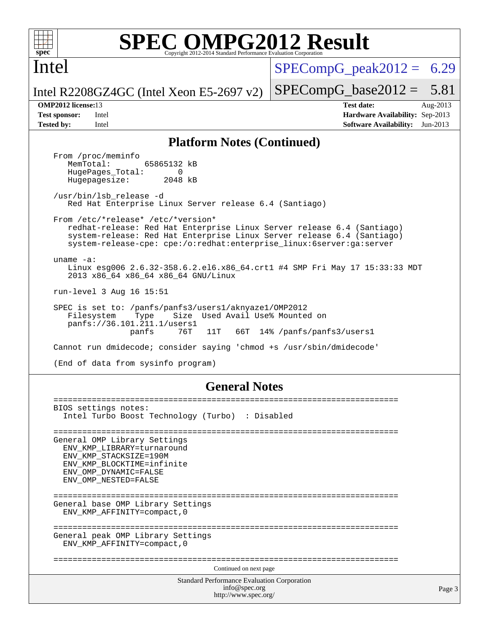

 $SPECompG<sub>peak2012</sub> = 6.29$ 

Intel

Intel R2208GZ4GC (Intel Xeon E5-2697 v2)

 $SPECompG_base2012 = 5.81$  $SPECompG_base2012 = 5.81$ 

**[OMP2012 license:](http://www.spec.org/auto/omp2012/Docs/result-fields.html#OMP2012license)**13 **[Test date:](http://www.spec.org/auto/omp2012/Docs/result-fields.html#Testdate)** Aug-2013 **[Test sponsor:](http://www.spec.org/auto/omp2012/Docs/result-fields.html#Testsponsor)** Intel **[Hardware Availability:](http://www.spec.org/auto/omp2012/Docs/result-fields.html#HardwareAvailability)** Sep-2013 **[Tested by:](http://www.spec.org/auto/omp2012/Docs/result-fields.html#Testedby)** Intel **[Software Availability:](http://www.spec.org/auto/omp2012/Docs/result-fields.html#SoftwareAvailability)** Jun-2013

### **[Platform Notes \(Continued\)](http://www.spec.org/auto/omp2012/Docs/result-fields.html#PlatformNotes)**

From /proc/meminfo<br>MemTotal: 65865132 kB HugePages\_Total: 0<br>Hugepagesize: 2048 kB Hugepagesize: /usr/bin/lsb\_release -d Red Hat Enterprise Linux Server release 6.4 (Santiago) From /etc/\*release\* /etc/\*version\* redhat-release: Red Hat Enterprise Linux Server release 6.4 (Santiago) system-release: Red Hat Enterprise Linux Server release 6.4 (Santiago) system-release-cpe: cpe:/o:redhat:enterprise\_linux:6server:ga:server uname -a: Linux esg006 2.6.32-358.6.2.el6.x86\_64.crt1 #4 SMP Fri May 17 15:33:33 MDT 2013 x86\_64 x86\_64 x86\_64 GNU/Linux run-level 3 Aug 16 15:51 SPEC is set to: /panfs/panfs3/users1/aknyaze1/OMP2012 Filesystem Type Size Used Avail Use% Mounted on panfs://36.101.211.1/users1 11T 66T 14% /panfs/panfs3/users1 Cannot run dmidecode; consider saying 'chmod +s /usr/sbin/dmidecode' (End of data from sysinfo program)

### **[General Notes](http://www.spec.org/auto/omp2012/Docs/result-fields.html#GeneralNotes)**

Standard Performance Evaluation Corporation [info@spec.org](mailto:info@spec.org) <http://www.spec.org/> Page 3 ======================================================================== BIOS settings notes: Intel Turbo Boost Technology (Turbo) : Disabled ======================================================================== General OMP Library Settings ENV\_KMP\_LIBRARY=turnaround ENV\_KMP\_STACKSIZE=190M ENV\_KMP\_BLOCKTIME=infinite ENV\_OMP\_DYNAMIC=FALSE ENV\_OMP\_NESTED=FALSE ======================================================================== General base OMP Library Settings ENV\_KMP\_AFFINITY=compact,0 ======================================================================== General peak OMP Library Settings ENV\_KMP\_AFFINITY=compact,0 ======================================================================== Continued on next page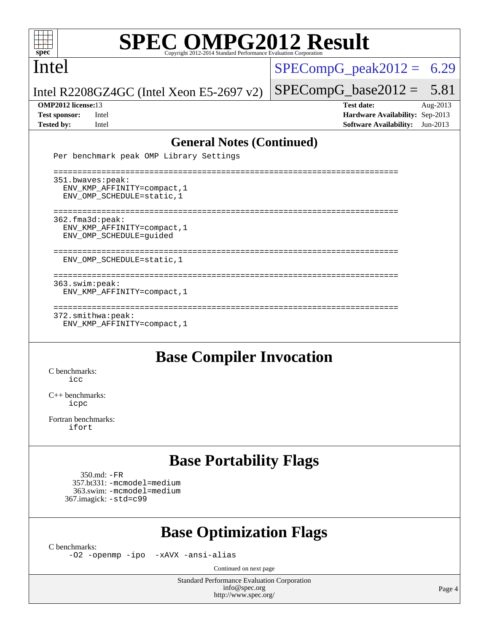

Intel

 $SPECompG_peak2012 = 6.29$  $SPECompG_peak2012 = 6.29$ 

Intel R2208GZ4GC (Intel Xeon E5-2697 v2)

 $SPECompG_base2012 = 5.81$  $SPECompG_base2012 = 5.81$ **[OMP2012 license:](http://www.spec.org/auto/omp2012/Docs/result-fields.html#OMP2012license)**13 **[Test date:](http://www.spec.org/auto/omp2012/Docs/result-fields.html#Testdate)** Aug-2013

**[Test sponsor:](http://www.spec.org/auto/omp2012/Docs/result-fields.html#Testsponsor)** Intel **[Hardware Availability:](http://www.spec.org/auto/omp2012/Docs/result-fields.html#HardwareAvailability)** Sep-2013 **[Tested by:](http://www.spec.org/auto/omp2012/Docs/result-fields.html#Testedby)** Intel **[Software Availability:](http://www.spec.org/auto/omp2012/Docs/result-fields.html#SoftwareAvailability)** Jun-2013

### **[General Notes \(Continued\)](http://www.spec.org/auto/omp2012/Docs/result-fields.html#GeneralNotes)**

Per benchmark peak OMP Library Settings

 ======================================================================== 351.bwaves:peak: ENV\_KMP\_AFFINITY=compact,1 ENV\_OMP\_SCHEDULE=static,1 ======================================================================== 362.fma3d:peak: ENV\_KMP\_AFFINITY=compact,1 ENV\_OMP\_SCHEDULE=guided ======================================================================== ENV\_OMP\_SCHEDULE=static,1 ======================================================================== 363.swim:peak: ENV\_KMP\_AFFINITY=compact,1 ======================================================================== 372.smithwa:peak: ENV\_KMP\_AFFINITY=compact,1

## **[Base Compiler Invocation](http://www.spec.org/auto/omp2012/Docs/result-fields.html#BaseCompilerInvocation)**

[C benchmarks](http://www.spec.org/auto/omp2012/Docs/result-fields.html#Cbenchmarks):  $i$ cc

[C++ benchmarks:](http://www.spec.org/auto/omp2012/Docs/result-fields.html#CXXbenchmarks) [icpc](http://www.spec.org/omp2012/results/res2013q3/omp2012-20130820-00031.flags.html#user_CXXbase_intel_icpc_2d899f8d163502b12eb4a60069f80c1c)

[Fortran benchmarks](http://www.spec.org/auto/omp2012/Docs/result-fields.html#Fortranbenchmarks): [ifort](http://www.spec.org/omp2012/results/res2013q3/omp2012-20130820-00031.flags.html#user_FCbase_intel_ifort_8a5e5e06b19a251bdeaf8fdab5d62f20)

## **[Base Portability Flags](http://www.spec.org/auto/omp2012/Docs/result-fields.html#BasePortabilityFlags)**

 350.md: [-FR](http://www.spec.org/omp2012/results/res2013q3/omp2012-20130820-00031.flags.html#user_baseFPORTABILITY350_md_f-FR) 357.bt331: [-mcmodel=medium](http://www.spec.org/omp2012/results/res2013q3/omp2012-20130820-00031.flags.html#user_basePORTABILITY357_bt331_f-mcmodel_3a41622424bdd074c4f0f2d2f224c7e5) 363.swim: [-mcmodel=medium](http://www.spec.org/omp2012/results/res2013q3/omp2012-20130820-00031.flags.html#user_basePORTABILITY363_swim_f-mcmodel_3a41622424bdd074c4f0f2d2f224c7e5) 367.imagick: [-std=c99](http://www.spec.org/omp2012/results/res2013q3/omp2012-20130820-00031.flags.html#user_baseCPORTABILITY367_imagick_f-std_2ec6533b6e06f1c4a6c9b78d9e9cde24)

## **[Base Optimization Flags](http://www.spec.org/auto/omp2012/Docs/result-fields.html#BaseOptimizationFlags)**

[C benchmarks](http://www.spec.org/auto/omp2012/Docs/result-fields.html#Cbenchmarks):

[-O2](http://www.spec.org/omp2012/results/res2013q3/omp2012-20130820-00031.flags.html#user_CCbase_f-O2) [-openmp](http://www.spec.org/omp2012/results/res2013q3/omp2012-20130820-00031.flags.html#user_CCbase_f-openmp) [-ipo](http://www.spec.org/omp2012/results/res2013q3/omp2012-20130820-00031.flags.html#user_CCbase_f-ipo_84062ab53814f613187d02344b8f49a7) [-xAVX](http://www.spec.org/omp2012/results/res2013q3/omp2012-20130820-00031.flags.html#user_CCbase_f-xAVX) [-ansi-alias](http://www.spec.org/omp2012/results/res2013q3/omp2012-20130820-00031.flags.html#user_CCbase_f-ansi-alias)

Continued on next page

Standard Performance Evaluation Corporation [info@spec.org](mailto:info@spec.org) <http://www.spec.org/>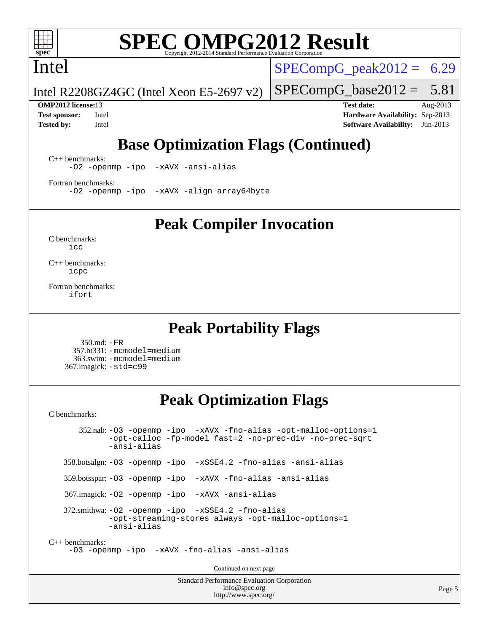

Intel

 $SPECompG_peak2012 = 6.29$  $SPECompG_peak2012 = 6.29$ 

 $SPECompG_base2012 = 5.81$  $SPECompG_base2012 = 5.81$ 

Intel R2208GZ4GC (Intel Xeon E5-2697 v2)

**[OMP2012 license:](http://www.spec.org/auto/omp2012/Docs/result-fields.html#OMP2012license)**13 **[Test date:](http://www.spec.org/auto/omp2012/Docs/result-fields.html#Testdate)** Aug-2013 **[Test sponsor:](http://www.spec.org/auto/omp2012/Docs/result-fields.html#Testsponsor)** Intel **[Hardware Availability:](http://www.spec.org/auto/omp2012/Docs/result-fields.html#HardwareAvailability)** Sep-2013 **[Tested by:](http://www.spec.org/auto/omp2012/Docs/result-fields.html#Testedby)** Intel **[Software Availability:](http://www.spec.org/auto/omp2012/Docs/result-fields.html#SoftwareAvailability)** Jun-2013

## **[Base Optimization Flags \(Continued\)](http://www.spec.org/auto/omp2012/Docs/result-fields.html#BaseOptimizationFlags)**

[C++ benchmarks:](http://www.spec.org/auto/omp2012/Docs/result-fields.html#CXXbenchmarks) [-O2](http://www.spec.org/omp2012/results/res2013q3/omp2012-20130820-00031.flags.html#user_CXXbase_f-O2) [-openmp](http://www.spec.org/omp2012/results/res2013q3/omp2012-20130820-00031.flags.html#user_CXXbase_f-openmp) [-ipo](http://www.spec.org/omp2012/results/res2013q3/omp2012-20130820-00031.flags.html#user_CXXbase_f-ipo_84062ab53814f613187d02344b8f49a7) [-xAVX](http://www.spec.org/omp2012/results/res2013q3/omp2012-20130820-00031.flags.html#user_CXXbase_f-xAVX) [-ansi-alias](http://www.spec.org/omp2012/results/res2013q3/omp2012-20130820-00031.flags.html#user_CXXbase_f-ansi-alias)

[Fortran benchmarks](http://www.spec.org/auto/omp2012/Docs/result-fields.html#Fortranbenchmarks): [-O2](http://www.spec.org/omp2012/results/res2013q3/omp2012-20130820-00031.flags.html#user_FCbase_f-O2) [-openmp](http://www.spec.org/omp2012/results/res2013q3/omp2012-20130820-00031.flags.html#user_FCbase_f-openmp) [-ipo](http://www.spec.org/omp2012/results/res2013q3/omp2012-20130820-00031.flags.html#user_FCbase_f-ipo_84062ab53814f613187d02344b8f49a7) [-xAVX](http://www.spec.org/omp2012/results/res2013q3/omp2012-20130820-00031.flags.html#user_FCbase_f-xAVX) [-align array64byte](http://www.spec.org/omp2012/results/res2013q3/omp2012-20130820-00031.flags.html#user_FCbase_f-align_c9377f996e966d652baaf753401d4725)

**[Peak Compiler Invocation](http://www.spec.org/auto/omp2012/Docs/result-fields.html#PeakCompilerInvocation)**

[C benchmarks](http://www.spec.org/auto/omp2012/Docs/result-fields.html#Cbenchmarks): [icc](http://www.spec.org/omp2012/results/res2013q3/omp2012-20130820-00031.flags.html#user_CCpeak_intel_icc_a87c68a857bc5ec5362391a49d3a37a6)

[C++ benchmarks:](http://www.spec.org/auto/omp2012/Docs/result-fields.html#CXXbenchmarks) [icpc](http://www.spec.org/omp2012/results/res2013q3/omp2012-20130820-00031.flags.html#user_CXXpeak_intel_icpc_2d899f8d163502b12eb4a60069f80c1c)

[Fortran benchmarks](http://www.spec.org/auto/omp2012/Docs/result-fields.html#Fortranbenchmarks): [ifort](http://www.spec.org/omp2012/results/res2013q3/omp2012-20130820-00031.flags.html#user_FCpeak_intel_ifort_8a5e5e06b19a251bdeaf8fdab5d62f20)

### **[Peak Portability Flags](http://www.spec.org/auto/omp2012/Docs/result-fields.html#PeakPortabilityFlags)**

 350.md: [-FR](http://www.spec.org/omp2012/results/res2013q3/omp2012-20130820-00031.flags.html#user_peakFPORTABILITY350_md_f-FR) 357.bt331: [-mcmodel=medium](http://www.spec.org/omp2012/results/res2013q3/omp2012-20130820-00031.flags.html#user_peakPORTABILITY357_bt331_f-mcmodel_3a41622424bdd074c4f0f2d2f224c7e5) 363.swim: [-mcmodel=medium](http://www.spec.org/omp2012/results/res2013q3/omp2012-20130820-00031.flags.html#user_peakPORTABILITY363_swim_f-mcmodel_3a41622424bdd074c4f0f2d2f224c7e5) 367.imagick: [-std=c99](http://www.spec.org/omp2012/results/res2013q3/omp2012-20130820-00031.flags.html#user_peakCPORTABILITY367_imagick_f-std_2ec6533b6e06f1c4a6c9b78d9e9cde24)

## **[Peak Optimization Flags](http://www.spec.org/auto/omp2012/Docs/result-fields.html#PeakOptimizationFlags)**

[C benchmarks](http://www.spec.org/auto/omp2012/Docs/result-fields.html#Cbenchmarks):

 352.nab: [-O3](http://www.spec.org/omp2012/results/res2013q3/omp2012-20130820-00031.flags.html#user_peakOPTIMIZE352_nab_f-O3) [-openmp](http://www.spec.org/omp2012/results/res2013q3/omp2012-20130820-00031.flags.html#user_peakOPTIMIZE352_nab_f-openmp) [-ipo](http://www.spec.org/omp2012/results/res2013q3/omp2012-20130820-00031.flags.html#user_peakOPTIMIZE352_nab_f-ipo_84062ab53814f613187d02344b8f49a7) [-xAVX](http://www.spec.org/omp2012/results/res2013q3/omp2012-20130820-00031.flags.html#user_peakOPTIMIZE352_nab_f-xAVX) [-fno-alias](http://www.spec.org/omp2012/results/res2013q3/omp2012-20130820-00031.flags.html#user_peakOPTIMIZE352_nab_f-no-alias_694e77f6c5a51e658e82ccff53a9e63a) [-opt-malloc-options=1](http://www.spec.org/omp2012/results/res2013q3/omp2012-20130820-00031.flags.html#user_peakOPTIMIZE352_nab_f-opt-malloc-options_d882ffc6ff87e51efe45f9a5190004b0) [-opt-calloc](http://www.spec.org/omp2012/results/res2013q3/omp2012-20130820-00031.flags.html#user_peakOPTIMIZE352_nab_f-opt-calloc) [-fp-model fast=2](http://www.spec.org/omp2012/results/res2013q3/omp2012-20130820-00031.flags.html#user_peakOPTIMIZE352_nab_f-fp-model_a7fb8ccb7275e23f0079632c153cfcab) [-no-prec-div](http://www.spec.org/omp2012/results/res2013q3/omp2012-20130820-00031.flags.html#user_peakOPTIMIZE352_nab_f-no-prec-div) [-no-prec-sqrt](http://www.spec.org/omp2012/results/res2013q3/omp2012-20130820-00031.flags.html#user_peakOPTIMIZE352_nab_f-no-prec-sqrt) [-ansi-alias](http://www.spec.org/omp2012/results/res2013q3/omp2012-20130820-00031.flags.html#user_peakCOPTIMIZE352_nab_f-ansi-alias) 358.botsalgn: [-O3](http://www.spec.org/omp2012/results/res2013q3/omp2012-20130820-00031.flags.html#user_peakOPTIMIZE358_botsalgn_f-O3) [-openmp](http://www.spec.org/omp2012/results/res2013q3/omp2012-20130820-00031.flags.html#user_peakOPTIMIZE358_botsalgn_f-openmp) [-ipo](http://www.spec.org/omp2012/results/res2013q3/omp2012-20130820-00031.flags.html#user_peakOPTIMIZE358_botsalgn_f-ipo_84062ab53814f613187d02344b8f49a7) [-xSSE4.2](http://www.spec.org/omp2012/results/res2013q3/omp2012-20130820-00031.flags.html#user_peakOPTIMIZE358_botsalgn_f-xSSE42_f91528193cf0b216347adb8b939d4107) [-fno-alias](http://www.spec.org/omp2012/results/res2013q3/omp2012-20130820-00031.flags.html#user_peakOPTIMIZE358_botsalgn_f-no-alias_694e77f6c5a51e658e82ccff53a9e63a) [-ansi-alias](http://www.spec.org/omp2012/results/res2013q3/omp2012-20130820-00031.flags.html#user_peakCOPTIMIZE358_botsalgn_f-ansi-alias) 359.botsspar: [-O3](http://www.spec.org/omp2012/results/res2013q3/omp2012-20130820-00031.flags.html#user_peakOPTIMIZE359_botsspar_f-O3) [-openmp](http://www.spec.org/omp2012/results/res2013q3/omp2012-20130820-00031.flags.html#user_peakOPTIMIZE359_botsspar_f-openmp) [-ipo](http://www.spec.org/omp2012/results/res2013q3/omp2012-20130820-00031.flags.html#user_peakOPTIMIZE359_botsspar_f-ipo_84062ab53814f613187d02344b8f49a7) [-xAVX](http://www.spec.org/omp2012/results/res2013q3/omp2012-20130820-00031.flags.html#user_peakOPTIMIZE359_botsspar_f-xAVX) [-fno-alias](http://www.spec.org/omp2012/results/res2013q3/omp2012-20130820-00031.flags.html#user_peakOPTIMIZE359_botsspar_f-no-alias_694e77f6c5a51e658e82ccff53a9e63a) [-ansi-alias](http://www.spec.org/omp2012/results/res2013q3/omp2012-20130820-00031.flags.html#user_peakCOPTIMIZE359_botsspar_f-ansi-alias) 367.imagick: [-O2](http://www.spec.org/omp2012/results/res2013q3/omp2012-20130820-00031.flags.html#user_peakOPTIMIZE367_imagick_f-O2) [-openmp](http://www.spec.org/omp2012/results/res2013q3/omp2012-20130820-00031.flags.html#user_peakOPTIMIZE367_imagick_f-openmp) [-ipo](http://www.spec.org/omp2012/results/res2013q3/omp2012-20130820-00031.flags.html#user_peakOPTIMIZE367_imagick_f-ipo_84062ab53814f613187d02344b8f49a7) [-xAVX](http://www.spec.org/omp2012/results/res2013q3/omp2012-20130820-00031.flags.html#user_peakOPTIMIZE367_imagick_f-xAVX) [-ansi-alias](http://www.spec.org/omp2012/results/res2013q3/omp2012-20130820-00031.flags.html#user_peakCOPTIMIZE367_imagick_f-ansi-alias) 372.smithwa: [-O2](http://www.spec.org/omp2012/results/res2013q3/omp2012-20130820-00031.flags.html#user_peakOPTIMIZE372_smithwa_f-O2) [-openmp](http://www.spec.org/omp2012/results/res2013q3/omp2012-20130820-00031.flags.html#user_peakOPTIMIZE372_smithwa_f-openmp) [-ipo](http://www.spec.org/omp2012/results/res2013q3/omp2012-20130820-00031.flags.html#user_peakOPTIMIZE372_smithwa_f-ipo_84062ab53814f613187d02344b8f49a7) [-xSSE4.2](http://www.spec.org/omp2012/results/res2013q3/omp2012-20130820-00031.flags.html#user_peakOPTIMIZE372_smithwa_f-xSSE42_f91528193cf0b216347adb8b939d4107) [-fno-alias](http://www.spec.org/omp2012/results/res2013q3/omp2012-20130820-00031.flags.html#user_peakOPTIMIZE372_smithwa_f-no-alias_694e77f6c5a51e658e82ccff53a9e63a) [-opt-streaming-stores always](http://www.spec.org/omp2012/results/res2013q3/omp2012-20130820-00031.flags.html#user_peakOPTIMIZE372_smithwa_f-opt-streaming-stores-always_66f55dbc532842151ebc4c82f4f5b019) [-opt-malloc-options=1](http://www.spec.org/omp2012/results/res2013q3/omp2012-20130820-00031.flags.html#user_peakOPTIMIZE372_smithwa_f-opt-malloc-options_d882ffc6ff87e51efe45f9a5190004b0) [-ansi-alias](http://www.spec.org/omp2012/results/res2013q3/omp2012-20130820-00031.flags.html#user_peakCOPTIMIZE372_smithwa_f-ansi-alias) [C++ benchmarks:](http://www.spec.org/auto/omp2012/Docs/result-fields.html#CXXbenchmarks) [-O3](http://www.spec.org/omp2012/results/res2013q3/omp2012-20130820-00031.flags.html#user_CXXpeak_f-O3) [-openmp](http://www.spec.org/omp2012/results/res2013q3/omp2012-20130820-00031.flags.html#user_CXXpeak_f-openmp) [-ipo](http://www.spec.org/omp2012/results/res2013q3/omp2012-20130820-00031.flags.html#user_CXXpeak_f-ipo_84062ab53814f613187d02344b8f49a7) [-xAVX](http://www.spec.org/omp2012/results/res2013q3/omp2012-20130820-00031.flags.html#user_CXXpeak_f-xAVX) [-fno-alias](http://www.spec.org/omp2012/results/res2013q3/omp2012-20130820-00031.flags.html#user_CXXpeak_f-no-alias_694e77f6c5a51e658e82ccff53a9e63a) [-ansi-alias](http://www.spec.org/omp2012/results/res2013q3/omp2012-20130820-00031.flags.html#user_CXXpeak_f-ansi-alias) Continued on next page

> Standard Performance Evaluation Corporation [info@spec.org](mailto:info@spec.org) <http://www.spec.org/>

Page 5